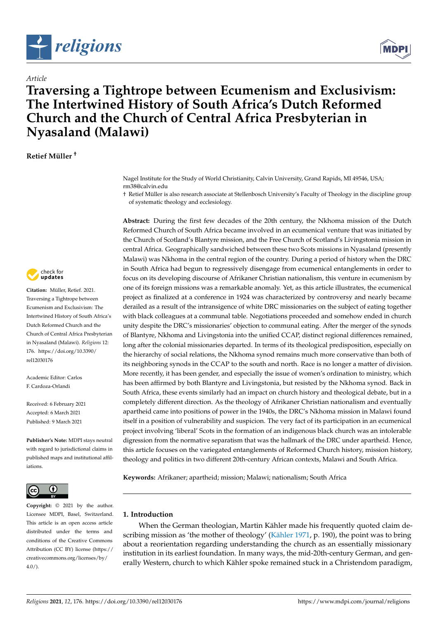

# *Article*

# **Traversing a Tightrope between Ecumenism and Exclusivism: The Intertwined History of South Africa's Dutch Reformed Church and the Church of Central Africa Presbyterian in Nyasaland (Malawi)**

**Retief Müller †**



**Citation:** Müller, Retief. 2021. Traversing a Tightrope between Ecumenism and Exclusivism: The Intertwined History of South Africa's Dutch Reformed Church and the Church of Central Africa Presbyterian in Nyasaland (Malawi). *Religions* 12: 176. [https://doi.org/10.3390/](https://doi.org/10.3390/rel12030176) [rel12030176](https://doi.org/10.3390/rel12030176)

Academic Editor: Carlos F. Cardoza-Orlandi

Received: 6 February 2021 Accepted: 6 March 2021 Published: 9 March 2021

**Publisher's Note:** MDPI stays neutral with regard to jurisdictional claims in published maps and institutional affiliations.



**Copyright:** © 2021 by the author. Licensee MDPI, Basel, Switzerland. This article is an open access article distributed under the terms and conditions of the Creative Commons Attribution (CC BY) license (https:/[/](https://creativecommons.org/licenses/by/4.0/) [creativecommons.org/licenses/by/](https://creativecommons.org/licenses/by/4.0/)  $4.0/$ ).

Nagel Institute for the Study of World Christianity, Calvin University, Grand Rapids, MI 49546, USA; rm38@calvin.edu

† Retief Müller is also research associate at Stellenbosch University's Faculty of Theology in the discipline group of systematic theology and ecclesiology.

**Abstract:** During the first few decades of the 20th century, the Nkhoma mission of the Dutch Reformed Church of South Africa became involved in an ecumenical venture that was initiated by the Church of Scotland's Blantyre mission, and the Free Church of Scotland's Livingstonia mission in central Africa. Geographically sandwiched between these two Scots missions in Nyasaland (presently Malawi) was Nkhoma in the central region of the country. During a period of history when the DRC in South Africa had begun to regressively disengage from ecumenical entanglements in order to focus on its developing discourse of Afrikaner Christian nationalism, this venture in ecumenism by one of its foreign missions was a remarkable anomaly. Yet, as this article illustrates, the ecumenical project as finalized at a conference in 1924 was characterized by controversy and nearly became derailed as a result of the intransigence of white DRC missionaries on the subject of eating together with black colleagues at a communal table. Negotiations proceeded and somehow ended in church unity despite the DRC's missionaries' objection to communal eating. After the merger of the synods of Blantyre, Nkhoma and Livingstonia into the unified CCAP, distinct regional differences remained, long after the colonial missionaries departed. In terms of its theological predisposition, especially on the hierarchy of social relations, the Nkhoma synod remains much more conservative than both of its neighboring synods in the CCAP to the south and north. Race is no longer a matter of division. More recently, it has been gender, and especially the issue of women's ordination to ministry, which has been affirmed by both Blantyre and Livingstonia, but resisted by the Nkhoma synod. Back in South Africa, these events similarly had an impact on church history and theological debate, but in a completely different direction. As the theology of Afrikaner Christian nationalism and eventually apartheid came into positions of power in the 1940s, the DRC's Nkhoma mission in Malawi found itself in a position of vulnerability and suspicion. The very fact of its participation in an ecumenical project involving 'liberal' Scots in the formation of an indigenous black church was an intolerable digression from the normative separatism that was the hallmark of the DRC under apartheid. Hence, this article focuses on the variegated entanglements of Reformed Church history, mission history, theology and politics in two different 20th-century African contexts, Malawi and South Africa.

**Keywords:** Afrikaner; apartheid; mission; Malawi; nationalism; South Africa

# **1. Introduction**

When the German theologian, Martin Kähler made his frequently quoted claim describing mission as 'the mother of theology' [\(Kähler](#page-10-0) [1971,](#page-10-0) p. 190), the point was to bring about a reorientation regarding understanding the church as an essentially missionary institution in its earliest foundation. In many ways, the mid-20th-century German, and generally Western, church to which Kähler spoke remained stuck in a Christendom paradigm,

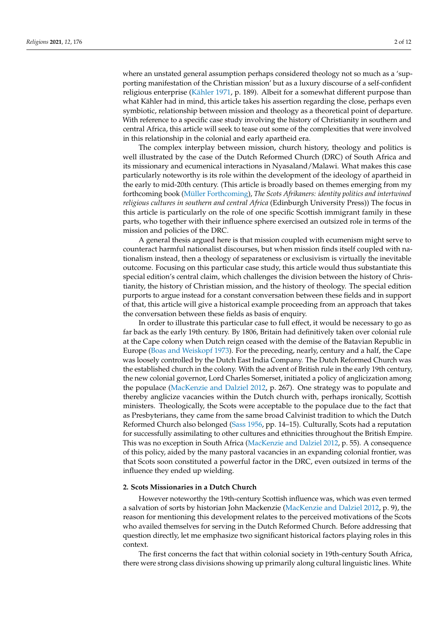where an unstated general assumption perhaps considered theology not so much as a 'supporting manifestation of the Christian mission' but as a luxury discourse of a self-confident religious enterprise [\(Kähler](#page-10-0) [1971,](#page-10-0) p. 189). Albeit for a somewhat different purpose than what Kähler had in mind, this article takes his assertion regarding the close, perhaps even symbiotic, relationship between mission and theology as a theoretical point of departure. With reference to a specific case study involving the history of Christianity in southern and central Africa, this article will seek to tease out some of the complexities that were involved in this relationship in the colonial and early apartheid era.

The complex interplay between mission, church history, theology and politics is well illustrated by the case of the Dutch Reformed Church (DRC) of South Africa and its missionary and ecumenical interactions in Nyasaland/Malawi. What makes this case particularly noteworthy is its role within the development of the ideology of apartheid in the early to mid-20th century. (This article is broadly based on themes emerging from my forthcoming book [\(Müller](#page-11-0) [Forthcoming\)](#page-11-0), *The Scots Afrikaners: identity politics and intertwined religious cultures in southern and central Africa* (Edinburgh University Press)) The focus in this article is particularly on the role of one specific Scottish immigrant family in these parts, who together with their influence sphere exercised an outsized role in terms of the mission and policies of the DRC.

A general thesis argued here is that mission coupled with ecumenism might serve to counteract harmful nationalist discourses, but when mission finds itself coupled with nationalism instead, then a theology of separateness or exclusivism is virtually the inevitable outcome. Focusing on this particular case study, this article would thus substantiate this special edition's central claim, which challenges the division between the history of Christianity, the history of Christian mission, and the history of theology. The special edition purports to argue instead for a constant conversation between these fields and in support of that, this article will give a historical example proceeding from an approach that takes the conversation between these fields as basis of enquiry.

In order to illustrate this particular case to full effect, it would be necessary to go as far back as the early 19th century. By 1806, Britain had definitively taken over colonial rule at the Cape colony when Dutch reign ceased with the demise of the Batavian Republic in Europe [\(Boas and Weiskopf](#page-10-1) [1973\)](#page-10-1). For the preceding, nearly, century and a half, the Cape was loosely controlled by the Dutch East India Company. The Dutch Reformed Church was the established church in the colony. With the advent of British rule in the early 19th century, the new colonial governor, Lord Charles Somerset, initiated a policy of anglicization among the populace [\(MacKenzie and Dalziel](#page-11-1) [2012,](#page-11-1) p. 267). One strategy was to populate and thereby anglicize vacancies within the Dutch church with, perhaps ironically, Scottish ministers. Theologically, the Scots were acceptable to the populace due to the fact that as Presbyterians, they came from the same broad Calvinist tradition to which the Dutch Reformed Church also belonged [\(Sass](#page-11-2) [1956,](#page-11-2) pp. 14–15). Culturally, Scots had a reputation for successfully assimilating to other cultures and ethnicities throughout the British Empire. This was no exception in South Africa [\(MacKenzie and Dalziel](#page-11-1) [2012,](#page-11-1) p. 55). A consequence of this policy, aided by the many pastoral vacancies in an expanding colonial frontier, was that Scots soon constituted a powerful factor in the DRC, even outsized in terms of the influence they ended up wielding.

#### **2. Scots Missionaries in a Dutch Church**

However noteworthy the 19th-century Scottish influence was, which was even termed a salvation of sorts by historian John Mackenzie [\(MacKenzie and Dalziel](#page-11-1) [2012,](#page-11-1) p. 9), the reason for mentioning this development relates to the perceived motivations of the Scots who availed themselves for serving in the Dutch Reformed Church. Before addressing that question directly, let me emphasize two significant historical factors playing roles in this context.

The first concerns the fact that within colonial society in 19th-century South Africa, there were strong class divisions showing up primarily along cultural linguistic lines. White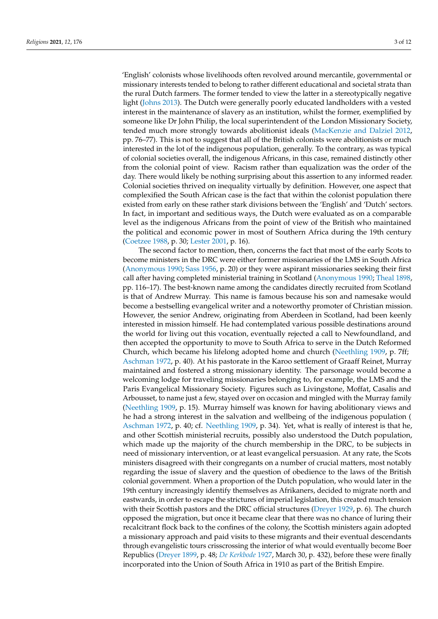'English' colonists whose livelihoods often revolved around mercantile, governmental or missionary interests tended to belong to rather different educational and societal strata than the rural Dutch farmers. The former tended to view the latter in a stereotypically negative light [\(Johns](#page-11-3) [2013\)](#page-11-3). The Dutch were generally poorly educated landholders with a vested interest in the maintenance of slavery as an institution, whilst the former, exemplified by someone like Dr John Philip, the local superintendent of the London Missionary Society, tended much more strongly towards abolitionist ideals [\(MacKenzie and Dalziel](#page-11-1) [2012,](#page-11-1) pp. 76–77). This is not to suggest that all of the British colonists were abolitionists or much interested in the lot of the indigenous population, generally. To the contrary, as was typical of colonial societies overall, the indigenous Africans, in this case, remained distinctly other from the colonial point of view. Racism rather than equalization was the order of the day. There would likely be nothing surprising about this assertion to any informed reader. Colonial societies thrived on inequality virtually by definition. However, one aspect that complexified the South African case is the fact that within the colonist population there existed from early on these rather stark divisions between the 'English' and 'Dutch' sectors. In fact, in important and seditious ways, the Dutch were evaluated as on a comparable level as the indigenous Africans from the point of view of the British who maintained the political and economic power in most of Southern Africa during the 19th century [\(Coetzee](#page-10-2) [1988,](#page-10-2) p. 30; [Lester](#page-11-4) [2001,](#page-11-4) p. 16).

The second factor to mention, then, concerns the fact that most of the early Scots to become ministers in the DRC were either former missionaries of the LMS in South Africa [\(Anonymous](#page-10-3) [1990;](#page-10-3) [Sass](#page-11-2) [1956,](#page-11-2) p. 20) or they were aspirant missionaries seeking their first call after having completed ministerial training in Scotland [\(Anonymous](#page-10-3) [1990;](#page-10-3) [Theal](#page-11-5) [1898,](#page-11-5) pp. 116–17). The best-known name among the candidates directly recruited from Scotland is that of Andrew Murray. This name is famous because his son and namesake would become a bestselling evangelical writer and a noteworthy promoter of Christian mission. However, the senior Andrew, originating from Aberdeen in Scotland, had been keenly interested in mission himself. He had contemplated various possible destinations around the world for living out this vocation, eventually rejected a call to Newfoundland, and then accepted the opportunity to move to South Africa to serve in the Dutch Reformed Church, which became his lifelong adopted home and church [\(Neethling](#page-11-6) [1909,](#page-11-6) p. 7ff; [Aschman](#page-10-4) [1972,](#page-10-4) p. 40). At his pastorate in the Karoo settlement of Graaff Reinet, Murray maintained and fostered a strong missionary identity. The parsonage would become a welcoming lodge for traveling missionaries belonging to, for example, the LMS and the Paris Evangelical Missionary Society. Figures such as Livingstone, Moffat, Casalis and Arbousset, to name just a few, stayed over on occasion and mingled with the Murray family [\(Neethling](#page-11-6) [1909,](#page-11-6) p. 15). Murray himself was known for having abolitionary views and he had a strong interest in the salvation and wellbeing of the indigenous population [\(](#page-10-4) [Aschman](#page-10-4) [1972,](#page-10-4) p. 40; cf. [Neethling](#page-11-6) [1909,](#page-11-6) p. 34). Yet, what is really of interest is that he, and other Scottish ministerial recruits, possibly also understood the Dutch population, which made up the majority of the church membership in the DRC, to be subjects in need of missionary intervention, or at least evangelical persuasion. At any rate, the Scots ministers disagreed with their congregants on a number of crucial matters, most notably regarding the issue of slavery and the question of obedience to the laws of the British colonial government. When a proportion of the Dutch population, who would later in the 19th century increasingly identify themselves as Afrikaners, decided to migrate north and eastwards, in order to escape the strictures of imperial legislation, this created much tension with their Scottish pastors and the DRC official structures [\(Dreyer](#page-10-5) [1929,](#page-10-5) p. 6). The church opposed the migration, but once it became clear that there was no chance of luring their recalcitrant flock back to the confines of the colony, the Scottish ministers again adopted a missionary approach and paid visits to these migrants and their eventual descendants through evangelistic tours crisscrossing the interior of what would eventually become Boer Republics [\(Dreyer](#page-10-6) [1899,](#page-10-6) p. 48; *[De Kerkbode](#page-10-7)* [1927,](#page-10-7) March 30, p. 432), before these were finally incorporated into the Union of South Africa in 1910 as part of the British Empire.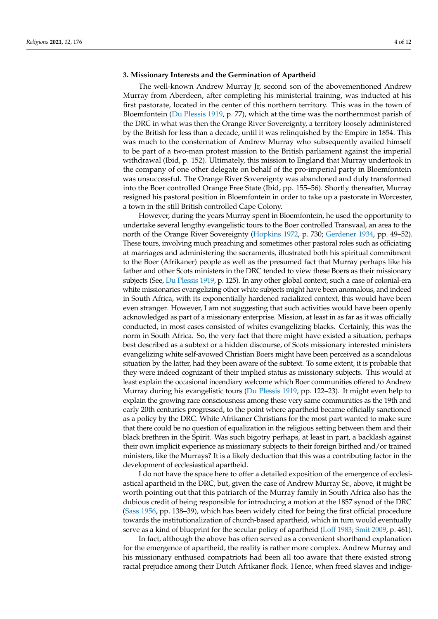# **3. Missionary Interests and the Germination of Apartheid**

The well-known Andrew Murray Jr, second son of the abovementioned Andrew Murray from Aberdeen, after completing his ministerial training, was inducted at his first pastorate, located in the center of this northern territory. This was in the town of Bloemfontein [\(Du Plessis](#page-10-8) [1919,](#page-10-8) p. 77), which at the time was the northernmost parish of the DRC in what was then the Orange River Sovereignty, a territory loosely administered by the British for less than a decade, until it was relinquished by the Empire in 1854. This was much to the consternation of Andrew Murray who subsequently availed himself to be part of a two-man protest mission to the British parliament against the imperial withdrawal (Ibid, p. 152). Ultimately, this mission to England that Murray undertook in the company of one other delegate on behalf of the pro-imperial party in Bloemfontein was unsuccessful. The Orange River Sovereignty was abandoned and duly transformed into the Boer controlled Orange Free State (Ibid, pp. 155–56). Shortly thereafter, Murray resigned his pastoral position in Bloemfontein in order to take up a pastorate in Worcester, a town in the still British controlled Cape Colony.

However, during the years Murray spent in Bloemfontein, he used the opportunity to undertake several lengthy evangelistic tours to the Boer controlled Transvaal, an area to the north of the Orange River Sovereignty [\(Hopkins](#page-10-9) [1972,](#page-10-9) p. 730; [Gerdener](#page-10-10) [1934,](#page-10-10) pp. 49–52). These tours, involving much preaching and sometimes other pastoral roles such as officiating at marriages and administering the sacraments, illustrated both his spiritual commitment to the Boer (Afrikaner) people as well as the presumed fact that Murray perhaps like his father and other Scots ministers in the DRC tended to view these Boers as their missionary subjects (See, [Du Plessis](#page-10-8) [1919,](#page-10-8) p. 125). In any other global context, such a case of colonial-era white missionaries evangelizing other white subjects might have been anomalous, and indeed in South Africa, with its exponentially hardened racialized context, this would have been even stranger. However, I am not suggesting that such activities would have been openly acknowledged as part of a missionary enterprise. Mission, at least in as far as it was officially conducted, in most cases consisted of whites evangelizing blacks. Certainly, this was the norm in South Africa. So, the very fact that there might have existed a situation, perhaps best described as a subtext or a hidden discourse, of Scots missionary interested ministers evangelizing white self-avowed Christian Boers might have been perceived as a scandalous situation by the latter, had they been aware of the subtext. To some extent, it is probable that they were indeed cognizant of their implied status as missionary subjects. This would at least explain the occasional incendiary welcome which Boer communities offered to Andrew Murray during his evangelistic tours [\(Du Plessis](#page-10-8) [1919,](#page-10-8) pp. 122–23). It might even help to explain the growing race consciousness among these very same communities as the 19th and early 20th centuries progressed, to the point where apartheid became officially sanctioned as a policy by the DRC. White Afrikaner Christians for the most part wanted to make sure that there could be no question of equalization in the religious setting between them and their black brethren in the Spirit. Was such bigotry perhaps, at least in part, a backlash against their own implicit experience as missionary subjects to their foreign birthed and/or trained ministers, like the Murrays? It is a likely deduction that this was a contributing factor in the development of ecclesiastical apartheid.

I do not have the space here to offer a detailed exposition of the emergence of ecclesiastical apartheid in the DRC, but, given the case of Andrew Murray Sr., above, it might be worth pointing out that this patriarch of the Murray family in South Africa also has the dubious credit of being responsible for introducing a motion at the 1857 synod of the DRC [\(Sass](#page-11-2) [1956,](#page-11-2) pp. 138–39), which has been widely cited for being the first official procedure towards the institutionalization of church-based apartheid, which in turn would eventually serve as a kind of blueprint for the secular policy of apartheid [\(Loff](#page-11-7) [1983;](#page-11-7) [Smit](#page-11-8) [2009,](#page-11-8) p. 461).

In fact, although the above has often served as a convenient shorthand explanation for the emergence of apartheid, the reality is rather more complex. Andrew Murray and his missionary enthused compatriots had been all too aware that there existed strong racial prejudice among their Dutch Afrikaner flock. Hence, when freed slaves and indige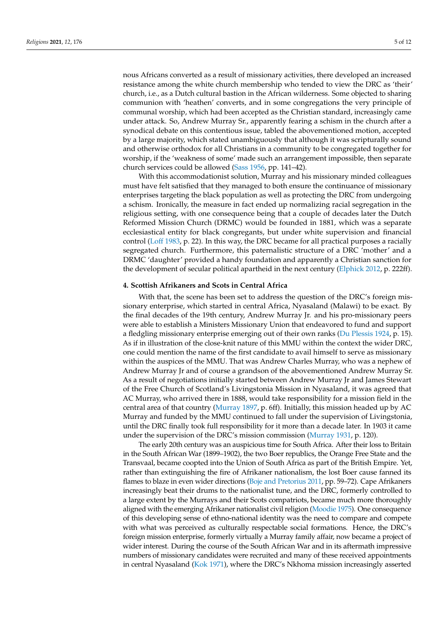nous Africans converted as a result of missionary activities, there developed an increased resistance among the white church membership who tended to view the DRC as 'their' church, i.e., as a Dutch cultural bastion in the African wilderness. Some objected to sharing communion with 'heathen' converts, and in some congregations the very principle of communal worship, which had been accepted as the Christian standard, increasingly came under attack. So, Andrew Murray Sr., apparently fearing a schism in the church after a synodical debate on this contentious issue, tabled the abovementioned motion, accepted by a large majority, which stated unambiguously that although it was scripturally sound and otherwise orthodox for all Christians in a community to be congregated together for worship, if the 'weakness of some' made such an arrangement impossible, then separate church services could be allowed [\(Sass](#page-11-2) [1956,](#page-11-2) pp. 141–42).

With this accommodationist solution, Murray and his missionary minded colleagues must have felt satisfied that they managed to both ensure the continuance of missionary enterprises targeting the black population as well as protecting the DRC from undergoing a schism. Ironically, the measure in fact ended up normalizing racial segregation in the religious setting, with one consequence being that a couple of decades later the Dutch Reformed Mission Church (DRMC) would be founded in 1881, which was a separate ecclesiastical entity for black congregants, but under white supervision and financial control [\(Loff](#page-11-7) [1983,](#page-11-7) p. 22). In this way, the DRC became for all practical purposes a racially segregated church. Furthermore, this paternalistic structure of a DRC 'mother' and a DRMC 'daughter' provided a handy foundation and apparently a Christian sanction for the development of secular political apartheid in the next century [\(Elphick](#page-10-11) [2012,](#page-10-11) p. 222ff).

## **4. Scottish Afrikaners and Scots in Central Africa**

With that, the scene has been set to address the question of the DRC's foreign missionary enterprise, which started in central Africa, Nyasaland (Malawi) to be exact. By the final decades of the 19th century, Andrew Murray Jr. and his pro-missionary peers were able to establish a Ministers Missionary Union that endeavored to fund and support a fledgling missionary enterprise emerging out of their own ranks [\(Du Plessis](#page-10-12) [1924,](#page-10-12) p. 15). As if in illustration of the close-knit nature of this MMU within the context the wider DRC, one could mention the name of the first candidate to avail himself to serve as missionary within the auspices of the MMU. That was Andrew Charles Murray, who was a nephew of Andrew Murray Jr and of course a grandson of the abovementioned Andrew Murray Sr. As a result of negotiations initially started between Andrew Murray Jr and James Stewart of the Free Church of Scotland's Livingstonia Mission in Nyasaland, it was agreed that AC Murray, who arrived there in 1888, would take responsibility for a mission field in the central area of that country [\(Murray](#page-11-9) [1897,](#page-11-9) p. 6ff). Initially, this mission headed up by AC Murray and funded by the MMU continued to fall under the supervision of Livingstonia, until the DRC finally took full responsibility for it more than a decade later. In 1903 it came under the supervision of the DRC's mission commission [\(Murray](#page-11-10) [1931,](#page-11-10) p. 120).

The early 20th century was an auspicious time for South Africa. After their loss to Britain in the South African War (1899–1902), the two Boer republics, the Orange Free State and the Transvaal, became coopted into the Union of South Africa as part of the British Empire. Yet, rather than extinguishing the fire of Afrikaner nationalism, the lost Boer cause fanned its flames to blaze in even wider directions [\(Boje and Pretorius](#page-10-13) [2011,](#page-10-13) pp. 59–72). Cape Afrikaners increasingly beat their drums to the nationalist tune, and the DRC, formerly controlled to a large extent by the Murrays and their Scots compatriots, became much more thoroughly aligned with the emerging Afrikaner nationalist civil religion [\(Moodie](#page-11-11) [1975\)](#page-11-11). One consequence of this developing sense of ethno-national identity was the need to compare and compete with what was perceived as culturally respectable social formations. Hence, the DRC's foreign mission enterprise, formerly virtually a Murray family affair, now became a project of wider interest. During the course of the South African War and in its aftermath impressive numbers of missionary candidates were recruited and many of these received appointments in central Nyasaland [\(Kok](#page-10-14) [1971\)](#page-10-14), where the DRC's Nkhoma mission increasingly asserted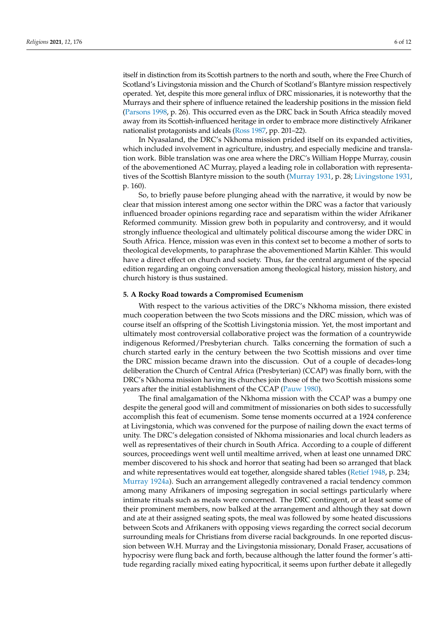itself in distinction from its Scottish partners to the north and south, where the Free Church of Scotland's Livingstonia mission and the Church of Scotland's Blantyre mission respectively operated. Yet, despite this more general influx of DRC missionaries, it is noteworthy that the Murrays and their sphere of influence retained the leadership positions in the mission field [\(Parsons](#page-11-12) [1998,](#page-11-12) p. 26). This occurred even as the DRC back in South Africa steadily moved away from its Scottish-influenced heritage in order to embrace more distinctively Afrikaner nationalist protagonists and ideals [\(Ross](#page-11-13) [1987,](#page-11-13) pp. 201–22).

In Nyasaland, the DRC's Nkhoma mission prided itself on its expanded activities, which included involvement in agriculture, industry, and especially medicine and translation work. Bible translation was one area where the DRC's William Hoppe Murray, cousin of the abovementioned AC Murray, played a leading role in collaboration with representatives of the Scottish Blantyre mission to the south [\(Murray](#page-11-10) [1931,](#page-11-10) p. 28; [Livingstone](#page-11-14) [1931,](#page-11-14) p. 160).

So, to briefly pause before plunging ahead with the narrative, it would by now be clear that mission interest among one sector within the DRC was a factor that variously influenced broader opinions regarding race and separatism within the wider Afrikaner Reformed community. Mission grew both in popularity and controversy, and it would strongly influence theological and ultimately political discourse among the wider DRC in South Africa. Hence, mission was even in this context set to become a mother of sorts to theological developments, to paraphrase the abovementioned Martin Kähler. This would have a direct effect on church and society. Thus, far the central argument of the special edition regarding an ongoing conversation among theological history, mission history, and church history is thus sustained.

#### **5. A Rocky Road towards a Compromised Ecumenism**

With respect to the various activities of the DRC's Nkhoma mission, there existed much cooperation between the two Scots missions and the DRC mission, which was of course itself an offspring of the Scottish Livingstonia mission. Yet, the most important and ultimately most controversial collaborative project was the formation of a countrywide indigenous Reformed/Presbyterian church. Talks concerning the formation of such a church started early in the century between the two Scottish missions and over time the DRC mission became drawn into the discussion. Out of a couple of decades-long deliberation the Church of Central Africa (Presbyterian) (CCAP) was finally born, with the DRC's Nkhoma mission having its churches join those of the two Scottish missions some years after the initial establishment of the CCAP [\(Pauw](#page-11-15) [1980\)](#page-11-15).

The final amalgamation of the Nkhoma mission with the CCAP was a bumpy one despite the general good will and commitment of missionaries on both sides to successfully accomplish this feat of ecumenism. Some tense moments occurred at a 1924 conference at Livingstonia, which was convened for the purpose of nailing down the exact terms of unity. The DRC's delegation consisted of Nkhoma missionaries and local church leaders as well as representatives of their church in South Africa. According to a couple of different sources, proceedings went well until mealtime arrived, when at least one unnamed DRC member discovered to his shock and horror that seating had been so arranged that black and white representatives would eat together, alongside shared tables [\(Retief](#page-11-16) [1948,](#page-11-16) p. 234; [Murray](#page-11-17) [1924a\)](#page-11-17). Such an arrangement allegedly contravened a racial tendency common among many Afrikaners of imposing segregation in social settings particularly where intimate rituals such as meals were concerned. The DRC contingent, or at least some of their prominent members, now balked at the arrangement and although they sat down and ate at their assigned seating spots, the meal was followed by some heated discussions between Scots and Afrikaners with opposing views regarding the correct social decorum surrounding meals for Christians from diverse racial backgrounds. In one reported discussion between W.H. Murray and the Livingstonia missionary, Donald Fraser, accusations of hypocrisy were flung back and forth, because although the latter found the former's attitude regarding racially mixed eating hypocritical, it seems upon further debate it allegedly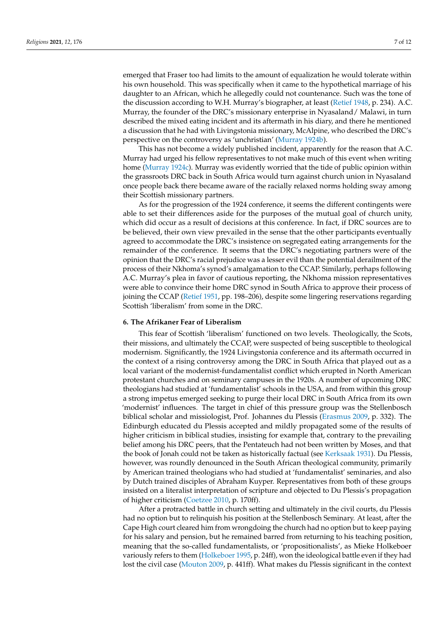emerged that Fraser too had limits to the amount of equalization he would tolerate within his own household. This was specifically when it came to the hypothetical marriage of his daughter to an African, which he allegedly could not countenance. Such was the tone of the discussion according to W.H. Murray's biographer, at least [\(Retief](#page-11-16) [1948,](#page-11-16) p. 234). A.C. Murray, the founder of the DRC's missionary enterprise in Nyasaland/ Malawi, in turn described the mixed eating incident and its aftermath in his diary, and there he mentioned a discussion that he had with Livingstonia missionary, McAlpine, who described the DRC's perspective on the controversy as 'unchristian' [\(Murray](#page-11-18) [1924b\)](#page-11-18).

This has not become a widely published incident, apparently for the reason that A.C. Murray had urged his fellow representatives to not make much of this event when writing home [\(Murray](#page-11-19) [1924c\)](#page-11-19). Murray was evidently worried that the tide of public opinion within the grassroots DRC back in South Africa would turn against church union in Nyasaland once people back there became aware of the racially relaxed norms holding sway among their Scottish missionary partners.

As for the progression of the 1924 conference, it seems the different contingents were able to set their differences aside for the purposes of the mutual goal of church unity, which did occur as a result of decisions at this conference. In fact, if DRC sources are to be believed, their own view prevailed in the sense that the other participants eventually agreed to accommodate the DRC's insistence on segregated eating arrangements for the remainder of the conference. It seems that the DRC's negotiating partners were of the opinion that the DRC's racial prejudice was a lesser evil than the potential derailment of the process of their Nkhoma's synod's amalgamation to the CCAP. Similarly, perhaps following A.C. Murray's plea in favor of cautious reporting, the Nkhoma mission representatives were able to convince their home DRC synod in South Africa to approve their process of joining the CCAP [\(Retief](#page-11-20) [1951,](#page-11-20) pp. 198–206), despite some lingering reservations regarding Scottish 'liberalism' from some in the DRC.

## **6. The Afrikaner Fear of Liberalism**

This fear of Scottish 'liberalism' functioned on two levels. Theologically, the Scots, their missions, and ultimately the CCAP, were suspected of being susceptible to theological modernism. Significantly, the 1924 Livingstonia conference and its aftermath occurred in the context of a rising controversy among the DRC in South Africa that played out as a local variant of the modernist-fundamentalist conflict which erupted in North American protestant churches and on seminary campuses in the 1920s. A number of upcoming DRC theologians had studied at 'fundamentalist' schools in the USA, and from within this group a strong impetus emerged seeking to purge their local DRC in South Africa from its own 'modernist' influences. The target in chief of this pressure group was the Stellenbosch biblical scholar and missiologist, Prof. Johannes du Plessis [\(Erasmus](#page-10-15) [2009,](#page-10-15) p. 332). The Edinburgh educated du Plessis accepted and mildly propagated some of the results of higher criticism in biblical studies, insisting for example that, contrary to the prevailing belief among his DRC peers, that the Pentateuch had not been written by Moses, and that the book of Jonah could not be taken as historically factual (see [Kerksaak](#page-10-16) [1931\)](#page-10-16). Du Plessis, however, was roundly denounced in the South African theological community, primarily by American trained theologians who had studied at 'fundamentalist' seminaries, and also by Dutch trained disciples of Abraham Kuyper. Representatives from both of these groups insisted on a literalist interpretation of scripture and objected to Du Plessis's propagation of higher criticism [\(Coetzee](#page-10-17) [2010,](#page-10-17) p. 170ff).

After a protracted battle in church setting and ultimately in the civil courts, du Plessis had no option but to relinquish his position at the Stellenbosch Seminary. At least, after the Cape High court cleared him from wrongdoing the church had no option but to keep paying for his salary and pension, but he remained barred from returning to his teaching position, meaning that the so-called fundamentalists, or 'propositionalists', as Mieke Holkeboer variously refers to them [\(Holkeboer](#page-10-18) [1995,](#page-10-18) p. 24ff), won the ideological battle even if they had lost the civil case [\(Mouton](#page-11-21) [2009,](#page-11-21) p. 441ff). What makes du Plessis significant in the context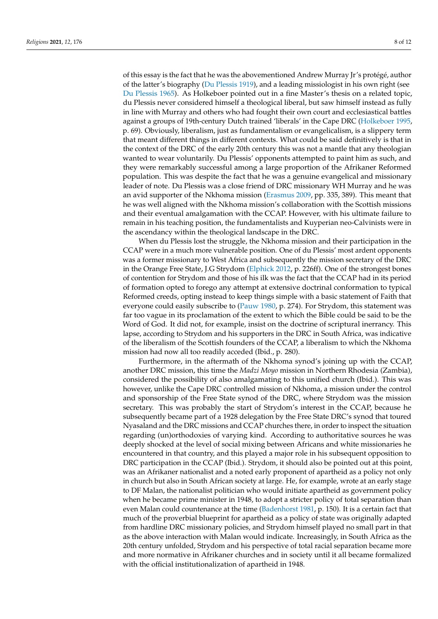of this essay is the fact that he was the abovementioned Andrew Murray Jr's protégé, author of the latter's biography [\(Du Plessis](#page-10-8) [1919\)](#page-10-8), and a leading missiologist in his own right (see [Du Plessis](#page-10-19) [1965\)](#page-10-19). As Holkeboer pointed out in a fine Master's thesis on a related topic, du Plessis never considered himself a theological liberal, but saw himself instead as fully in line with Murray and others who had fought their own court and ecclesiastical battles against a groups of 19th-century Dutch trained 'liberals' in the Cape DRC [\(Holkeboer](#page-10-18) [1995,](#page-10-18) p. 69). Obviously, liberalism, just as fundamentalism or evangelicalism, is a slippery term that meant different things in different contexts. What could be said definitively is that in the context of the DRC of the early 20th century this was not a mantle that any theologian wanted to wear voluntarily. Du Plessis' opponents attempted to paint him as such, and they were remarkably successful among a large proportion of the Afrikaner Reformed population. This was despite the fact that he was a genuine evangelical and missionary leader of note. Du Plessis was a close friend of DRC missionary WH Murray and he was an avid supporter of the Nkhoma mission [\(Erasmus](#page-10-15) [2009,](#page-10-15) pp. 335, 389). This meant that he was well aligned with the Nkhoma mission's collaboration with the Scottish missions and their eventual amalgamation with the CCAP. However, with his ultimate failure to remain in his teaching position, the fundamentalists and Kuyperian neo-Calvinists were in the ascendancy within the theological landscape in the DRC.

When du Plessis lost the struggle, the Nkhoma mission and their participation in the CCAP were in a much more vulnerable position. One of du Plessis' most ardent opponents was a former missionary to West Africa and subsequently the mission secretary of the DRC in the Orange Free State, J.G Strydom [\(Elphick](#page-10-11) [2012,](#page-10-11) p. 226ff). One of the strongest bones of contention for Strydom and those of his ilk was the fact that the CCAP had in its period of formation opted to forego any attempt at extensive doctrinal conformation to typical Reformed creeds, opting instead to keep things simple with a basic statement of Faith that everyone could easily subscribe to [\(Pauw](#page-11-15) [1980,](#page-11-15) p. 274). For Strydom, this statement was far too vague in its proclamation of the extent to which the Bible could be said to be the Word of God. It did not, for example, insist on the doctrine of scriptural inerrancy. This lapse, according to Strydom and his supporters in the DRC in South Africa, was indicative of the liberalism of the Scottish founders of the CCAP, a liberalism to which the Nkhoma mission had now all too readily acceded (Ibid., p. 280).

Furthermore, in the aftermath of the Nkhoma synod's joining up with the CCAP, another DRC mission, this time the *Madzi Moyo* mission in Northern Rhodesia (Zambia), considered the possibility of also amalgamating to this unified church (Ibid.). This was however, unlike the Cape DRC controlled mission of Nkhoma, a mission under the control and sponsorship of the Free State synod of the DRC, where Strydom was the mission secretary. This was probably the start of Strydom's interest in the CCAP, because he subsequently became part of a 1928 delegation by the Free State DRC's synod that toured Nyasaland and the DRC missions and CCAP churches there, in order to inspect the situation regarding (un)orthodoxies of varying kind. According to authoritative sources he was deeply shocked at the level of social mixing between Africans and white missionaries he encountered in that country, and this played a major role in his subsequent opposition to DRC participation in the CCAP (Ibid.). Strydom, it should also be pointed out at this point, was an Afrikaner nationalist and a noted early proponent of apartheid as a policy not only in church but also in South African society at large. He, for example, wrote at an early stage to DF Malan, the nationalist politician who would initiate apartheid as government policy when he became prime minister in 1948, to adopt a stricter policy of total separation than even Malan could countenance at the time [\(Badenhorst](#page-10-20) [1981,](#page-10-20) p. 150). It is a certain fact that much of the proverbial blueprint for apartheid as a policy of state was originally adapted from hardline DRC missionary policies, and Strydom himself played no small part in that as the above interaction with Malan would indicate. Increasingly, in South Africa as the 20th century unfolded, Strydom and his perspective of total racial separation became more and more normative in Afrikaner churches and in society until it all became formalized with the official institutionalization of apartheid in 1948.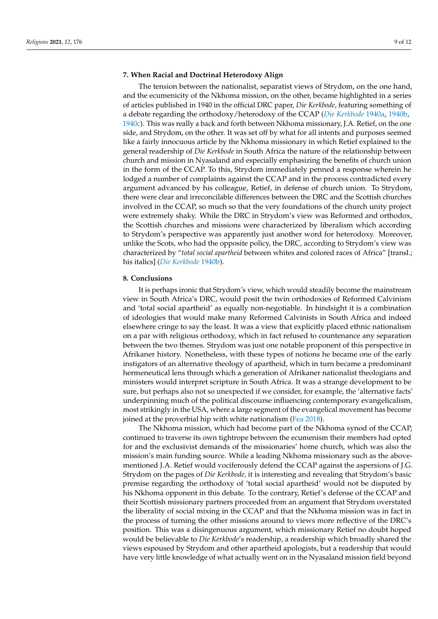## **7. When Racial and Doctrinal Heterodoxy Align**

The tension between the nationalist, separatist views of Strydom, on the one hand, and the ecumenicity of the Nkhoma mission, on the other, became highlighted in a series of articles published in 1940 in the official DRC paper, *Die Kerkbode*, featuring something of a debate regarding the orthodoxy/heterodoxy of the CCAP (*[Die Kerkbode](#page-10-21)* [1940a,](#page-10-21) [1940b,](#page-10-22) [1940c\)](#page-10-23). This was really a back and forth between Nkhoma missionary, J.A. Retief, on the one side, and Strydom, on the other. It was set off by what for all intents and purposes seemed like a fairly innocuous article by the Nkhoma missionary in which Retief explained to the general readership of *Die Kerkbode* in South Africa the nature of the relationship between church and mission in Nyasaland and especially emphasizing the benefits of church union in the form of the CCAP. To this, Strydom immediately penned a response wherein he lodged a number of complaints against the CCAP and in the process contradicted every argument advanced by his colleague, Retief, in defense of church union. To Strydom, there were clear and irreconcilable differences between the DRC and the Scottish churches involved in the CCAP, so much so that the very foundations of the church unity project were extremely shaky. While the DRC in Strydom's view was Reformed and orthodox, the Scottish churches and missions were characterized by liberalism which according to Strydom's perspective was apparently just another word for heterodoxy. Moreover, unlike the Scots, who had the opposite policy, the DRC, according to Strydom's view was characterized by "*total social apartheid* between whites and colored races of Africa" [transl.; his italics] (*[Die Kerkbode](#page-10-22)* [1940b\)](#page-10-22).

#### **8. Conclusions**

It is perhaps ironic that Strydom's view, which would steadily become the mainstream view in South Africa's DRC, would posit the twin orthodoxies of Reformed Calvinism and 'total social apartheid' as equally non-negotiable. In hindsight it is a combination of ideologies that would make many Reformed Calvinists in South Africa and indeed elsewhere cringe to say the least. It was a view that explicitly placed ethnic nationalism on a par with religious orthodoxy, which in fact refused to countenance any separation between the two themes. Strydom was just one notable proponent of this perspective in Afrikaner history. Nonetheless, with these types of notions he became one of the early instigators of an alternative theology of apartheid, which in turn became a predominant hermeneutical lens through which a generation of Afrikaner nationalist theologians and ministers would interpret scripture in South Africa. It was a strange development to be sure, but perhaps also not so unexpected if we consider, for example, the 'alternative facts' underpinning much of the political discourse influencing contemporary evangelicalism, most strikingly in the USA, where a large segment of the evangelical movement has become joined at the proverbial hip with white nationalism [\(Fea](#page-10-24) [2018\)](#page-10-24).

The Nkhoma mission, which had become part of the Nkhoma synod of the CCAP, continued to traverse its own tightrope between the ecumenism their members had opted for and the exclusivist demands of the missionaries' home church, which was also the mission's main funding source. While a leading Nkhoma missionary such as the abovementioned J.A. Retief would vociferously defend the CCAP against the aspersions of J.G. Strydom on the pages of *Die Kerkbode,* it is interesting and revealing that Strydom's basic premise regarding the orthodoxy of 'total social apartheid' would not be disputed by his Nkhoma opponent in this debate. To the contrary, Retief's defense of the CCAP and their Scottish missionary partners proceeded from an argument that Strydom overstated the liberality of social mixing in the CCAP and that the Nkhoma mission was in fact in the process of turning the other missions around to views more reflective of the DRC's position. This was a disingenuous argument, which missionary Retief no doubt hoped would be believable to *Die Kerkbode*'s readership, a readership which broadly shared the views espoused by Strydom and other apartheid apologists, but a readership that would have very little knowledge of what actually went on in the Nyasaland mission field beyond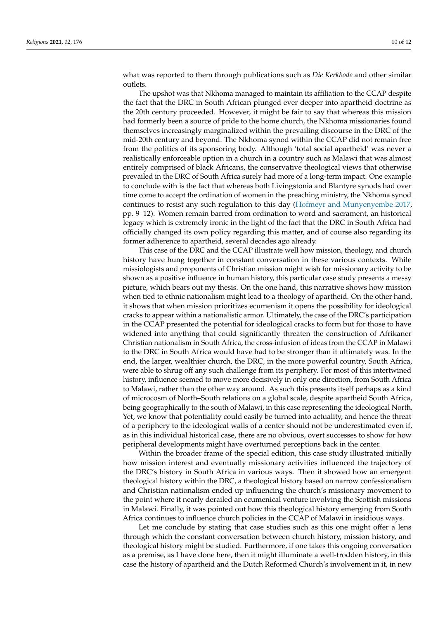what was reported to them through publications such as *Die Kerkbode* and other similar outlets.

The upshot was that Nkhoma managed to maintain its affiliation to the CCAP despite the fact that the DRC in South African plunged ever deeper into apartheid doctrine as the 20th century proceeded. However, it might be fair to say that whereas this mission had formerly been a source of pride to the home church, the Nkhoma missionaries found themselves increasingly marginalized within the prevailing discourse in the DRC of the mid-20th century and beyond. The Nkhoma synod within the CCAP did not remain free from the politics of its sponsoring body. Although 'total social apartheid' was never a realistically enforceable option in a church in a country such as Malawi that was almost entirely comprised of black Africans, the conservative theological views that otherwise prevailed in the DRC of South Africa surely had more of a long-term impact. One example to conclude with is the fact that whereas both Livingstonia and Blantyre synods had over time come to accept the ordination of women in the preaching ministry, the Nkhoma synod continues to resist any such regulation to this day [\(Hofmeyr and Munyenyembe](#page-10-25) [2017,](#page-10-25) pp. 9–12). Women remain barred from ordination to word and sacrament, an historical legacy which is extremely ironic in the light of the fact that the DRC in South Africa had officially changed its own policy regarding this matter, and of course also regarding its former adherence to apartheid, several decades ago already.

This case of the DRC and the CCAP illustrate well how mission, theology, and church history have hung together in constant conversation in these various contexts. While missiologists and proponents of Christian mission might wish for missionary activity to be shown as a positive influence in human history, this particular case study presents a messy picture, which bears out my thesis. On the one hand, this narrative shows how mission when tied to ethnic nationalism might lead to a theology of apartheid. On the other hand, it shows that when mission prioritizes ecumenism it opens the possibility for ideological cracks to appear within a nationalistic armor. Ultimately, the case of the DRC's participation in the CCAP presented the potential for ideological cracks to form but for those to have widened into anything that could significantly threaten the construction of Afrikaner Christian nationalism in South Africa, the cross-infusion of ideas from the CCAP in Malawi to the DRC in South Africa would have had to be stronger than it ultimately was. In the end, the larger, wealthier church, the DRC, in the more powerful country, South Africa, were able to shrug off any such challenge from its periphery. For most of this intertwined history, influence seemed to move more decisively in only one direction, from South Africa to Malawi, rather than the other way around. As such this presents itself perhaps as a kind of microcosm of North–South relations on a global scale, despite apartheid South Africa, being geographically to the south of Malawi, in this case representing the ideological North. Yet, we know that potentiality could easily be turned into actuality, and hence the threat of a periphery to the ideological walls of a center should not be underestimated even if, as in this individual historical case, there are no obvious, overt successes to show for how peripheral developments might have overturned perceptions back in the center.

Within the broader frame of the special edition, this case study illustrated initially how mission interest and eventually missionary activities influenced the trajectory of the DRC's history in South Africa in various ways. Then it showed how an emergent theological history within the DRC, a theological history based on narrow confessionalism and Christian nationalism ended up influencing the church's missionary movement to the point where it nearly derailed an ecumenical venture involving the Scottish missions in Malawi. Finally, it was pointed out how this theological history emerging from South Africa continues to influence church policies in the CCAP of Malawi in insidious ways.

Let me conclude by stating that case studies such as this one might offer a lens through which the constant conversation between church history, mission history, and theological history might be studied. Furthermore, if one takes this ongoing conversation as a premise, as I have done here, then it might illuminate a well-trodden history, in this case the history of apartheid and the Dutch Reformed Church's involvement in it, in new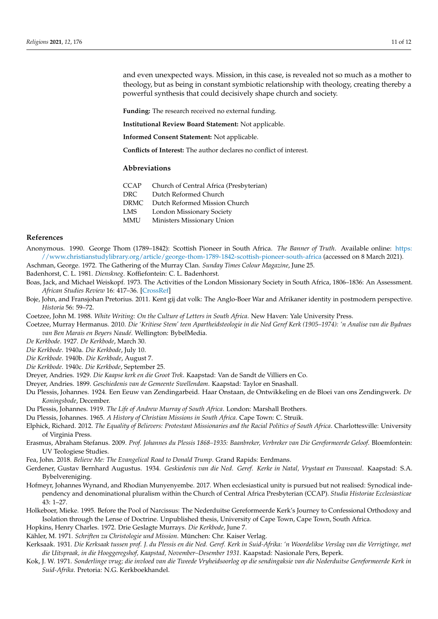and even unexpected ways. Mission, in this case, is revealed not so much as a mother to theology, but as being in constant symbiotic relationship with theology, creating thereby a powerful synthesis that could decisively shape church and society.

**Funding:** The research received no external funding.

**Institutional Review Board Statement:** Not applicable.

**Informed Consent Statement:** Not applicable.

**Conflicts of Interest:** The author declares no conflict of interest.

### **Abbreviations**

CCAP Church of Central Africa (Presbyterian)

DRC Dutch Reformed Church

DRMC Dutch Reformed Mission Church

- LMS London Missionary Society
- MMU Ministers Missionary Union

# **References**

<span id="page-10-3"></span>Anonymous. 1990. George Thom (1789–1842): Scottish Pioneer in South Africa. *The Banner of Truth*. Available online: [https:](https://www.christianstudylibrary.org/article/george-thom-1789-1842-scottish-pioneer-south-africa) [//www.christianstudylibrary.org/article/george-thom-1789-1842-scottish-pioneer-south-africa](https://www.christianstudylibrary.org/article/george-thom-1789-1842-scottish-pioneer-south-africa) (accessed on 8 March 2021).

<span id="page-10-4"></span>Aschman, George. 1972. The Gathering of the Murray Clan. *Sunday Times Colour Magazine*, June 25.

<span id="page-10-20"></span>Badenhorst, C. L. 1981. *Dienskneg*. Koffiefontein: C. L. Badenhorst.

- <span id="page-10-1"></span>Boas, Jack, and Michael Weiskopf. 1973. The Activities of the London Missionary Society in South Africa, 1806–1836: An Assessment. *African Studies Review* 16: 417–36. [\[CrossRef\]](http://doi.org/10.2307/523513)
- <span id="page-10-13"></span>Boje, John, and Fransjohan Pretorius. 2011. Kent gij dat volk: The Anglo-Boer War and Afrikaner identity in postmodern perspective. *Historia* 56: 59–72.
- <span id="page-10-2"></span>Coetzee, John M. 1988. *White Writing: On the Culture of Letters in South Africa*. New Haven: Yale University Press.
- <span id="page-10-17"></span>Coetzee, Murray Hermanus. 2010. *Die 'Kritiese Stem' teen Apartheidsteologie in die Ned Geref Kerk (1905–1974): 'n Analise van die Bydraes van Ben Marais en Beyers Naudé*. Wellington: BybelMedia.

<span id="page-10-7"></span>*De Kerkbode*. 1927. *De Kerkbode*, March 30.

<span id="page-10-21"></span>*Die Kerkbode*. 1940a. *Die Kerkbode*, July 10.

<span id="page-10-22"></span>*Die Kerkbode*. 1940b. *Die Kerkbode*, August 7.

<span id="page-10-23"></span>*Die Kerkbode*. 1940c. *Die Kerkbode*, September 25.

<span id="page-10-5"></span>Dreyer, Andries. 1929. *Die Kaapse kerk en die Groot Trek*. Kaapstad: Van de Sandt de Villiers en Co.

<span id="page-10-6"></span>Dreyer, Andries. 1899. *Geschiedenis van de Gemeente Swellendam*. Kaapstad: Taylor en Snashall.

- <span id="page-10-12"></span>Du Plessis, Johannes. 1924. Een Eeuw van Zendingarbeid. Haar Onstaan, de Ontwikkeling en de Bloei van ons Zendingwerk. *De Koningsbode*, December.
- <span id="page-10-8"></span>Du Plessis, Johannes. 1919. *The Life of Andrew Murray of South Africa*. London: Marshall Brothers.
- <span id="page-10-19"></span>Du Plessis, Johannes. 1965. *A History of Christian Missions in South Africa*. Cape Town: C. Struik.
- <span id="page-10-11"></span>Elphick, Richard. 2012. *The Equality of Believers: Protestant Missionaries and the Racial Politics of South Africa*. Charlottesville: University of Virginia Press.
- <span id="page-10-15"></span>Erasmus, Abraham Stefanus. 2009. *Prof. Johannes du Plessis 1868–1935: Baanbreker, Verbreker van Die Gereformeerde Geloof*. Bloemfontein: UV Teologiese Studies.
- <span id="page-10-24"></span>Fea, John. 2018. *Believe Me: The Evangelical Road to Donald Trump*. Grand Rapids: Eerdmans.
- <span id="page-10-10"></span>Gerdener, Gustav Bernhard Augustus. 1934. *Geskiedenis van die Ned. Geref. Kerke in Natal, Vrystaat en Transvaal*. Kaapstad: S.A. Bybelvereniging.
- <span id="page-10-25"></span>Hofmeyr, Johannes Wynand, and Rhodian Munyenyembe. 2017. When ecclesiastical unity is pursued but not realised: Synodical independency and denominational pluralism within the Church of Central Africa Presbyterian (CCAP). *Studia Historiae Ecclesiasticae* 43: 1–27.
- <span id="page-10-18"></span>Holkeboer, Mieke. 1995. Before the Pool of Narcissus: The Nederduitse Gereformeerde Kerk's Journey to Confessional Orthodoxy and Isolation through the Lense of Doctrine. Unpublished thesis, University of Cape Town, Cape Town, South Africa.
- <span id="page-10-9"></span>Hopkins, Henry Charles. 1972. Drie Geslagte Murrays. *Die Kerkbode*, June 7.
- <span id="page-10-0"></span>Kähler, M. 1971. *Schriften zu Christologie und Mission*. München: Chr. Kaiser Verlag.
- <span id="page-10-16"></span>Kerksaak. 1931. *Die Kerksaak tussen prof. J. du Plessis en die Ned. Geref. Kerk in Suid-Afrika: 'n Woordelikse Verslag van die Verrigtinge, met die Uitspraak, in die Hooggeregshof, Kaapstad, November–Desember 1931*. Kaapstad: Nasionale Pers, Beperk.
- <span id="page-10-14"></span>Kok, J. W. 1971. *Sonderlinge vrug; die invloed van die Tweede Vryheidsoorlog op die sendingaksie van die Nederduitse Gereformeerde Kerk in Suid-Afrika*. Pretoria: N.G. Kerkboekhandel.